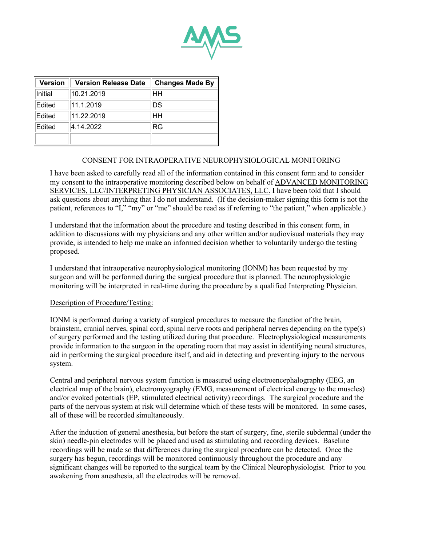

| <b>Version</b> | <b>Version Release Date</b> | <b>Changes Made By</b> |
|----------------|-----------------------------|------------------------|
| Initial        | 10.21.2019                  | HН                     |
| Edited         | 11.1.2019                   | DS                     |
| Edited         | 11.22.2019                  | HН                     |
| Edited         | 4.14.2022                   | <b>RG</b>              |
|                |                             |                        |

### CONSENT FOR INTRAOPERATIVE NEUROPHYSIOLOGICAL MONITORING

I have been asked to carefully read all of the information contained in this consent form and to consider my consent to the intraoperative monitoring described below on behalf of ADVANCED MONITORING SERVICES, LLC/INTERPRETING PHYSICIAN ASSOCIATES, LLC. I have been told that I should ask questions about anything that I do not understand. (If the decision-maker signing this form is not the patient, references to "I," "my" or "me" should be read as if referring to "the patient," when applicable.)

I understand that the information about the procedure and testing described in this consent form, in addition to discussions with my physicians and any other written and/or audiovisual materials they may provide, is intended to help me make an informed decision whether to voluntarily undergo the testing proposed.

I understand that intraoperative neurophysiological monitoring (IONM) has been requested by my surgeon and will be performed during the surgical procedure that is planned. The neurophysiologic monitoring will be interpreted in real-time during the procedure by a qualified Interpreting Physician.

### Description of Procedure/Testing:

IONM is performed during a variety of surgical procedures to measure the function of the brain, brainstem, cranial nerves, spinal cord, spinal nerve roots and peripheral nerves depending on the type(s) of surgery performed and the testing utilized during that procedure. Electrophysiological measurements provide information to the surgeon in the operating room that may assist in identifying neural structures, aid in performing the surgical procedure itself, and aid in detecting and preventing injury to the nervous system.

Central and peripheral nervous system function is measured using electroencephalography (EEG, an electrical map of the brain), electromyography (EMG, measurement of electrical energy to the muscles) and/or evoked potentials (EP, stimulated electrical activity) recordings. The surgical procedure and the parts of the nervous system at risk will determine which of these tests will be monitored. In some cases, all of these will be recorded simultaneously.

After the induction of general anesthesia, but before the start of surgery, fine, sterile subdermal (under the skin) needle-pin electrodes will be placed and used as stimulating and recording devices. Baseline recordings will be made so that differences during the surgical procedure can be detected. Once the surgery has begun, recordings will be monitored continuously throughout the procedure and any significant changes will be reported to the surgical team by the Clinical Neurophysiologist. Prior to you awakening from anesthesia, all the electrodes will be removed.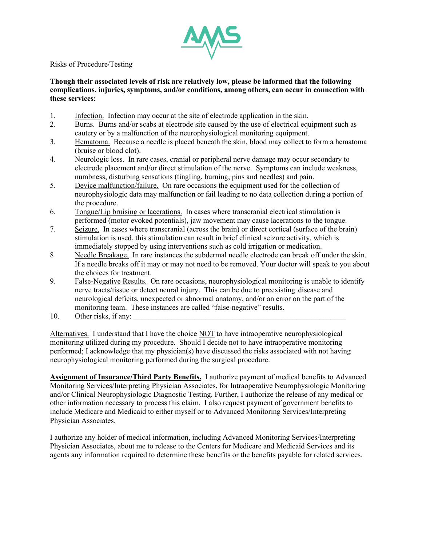

### Risks of Procedure/Testing

# **Though their associated levels of risk are relatively low, please be informed that the following complications, injuries, symptoms, and/or conditions, among others, can occur in connection with these services:**

- 1. Infection. Infection may occur at the site of electrode application in the skin.
- 2. Burns. Burns and/or scabs at electrode site caused by the use of electrical equipment such as cautery or by a malfunction of the neurophysiological monitoring equipment.
- 3. Hematoma. Because a needle is placed beneath the skin, blood may collect to form a hematoma (bruise or blood clot).
- 4. Neurologic loss. In rare cases, cranial or peripheral nerve damage may occur secondary to electrode placement and/or direct stimulation of the nerve. Symptoms can include weakness, numbness, disturbing sensations (tingling, burning, pins and needles) and pain.
- 5. Device malfunction/failure. On rare occasions the equipment used for the collection of neurophysiologic data may malfunction or fail leading to no data collection during a portion of the procedure.
- 6. Tongue/Lip bruising or lacerations. In cases where transcranial electrical stimulation is performed (motor evoked potentials), jaw movement may cause lacerations to the tongue.
- 7. Seizure. In cases where transcranial (across the brain) or direct cortical (surface of the brain) stimulation is used, this stimulation can result in brief clinical seizure activity, which is immediately stopped by using interventions such as cold irrigation or medication.
- 8 Needle Breakage. In rare instances the subdermal needle electrode can break off under the skin. If a needle breaks off it may or may not need to be removed. Your doctor will speak to you about the choices for treatment.
- 9. False-Negative Results. On rare occasions, neurophysiological monitoring is unable to identify nerve tracts/tissue or detect neural injury. This can be due to preexisting disease and neurological deficits, unexpected or abnormal anatomy, and/or an error on the part of the monitoring team. These instances are called "false-negative" results.
- 10. Other risks, if any:

Alternatives. I understand that I have the choice NOT to have intraoperative neurophysiological monitoring utilized during my procedure. Should I decide not to have intraoperative monitoring performed; I acknowledge that my physician(s) have discussed the risks associated with not having neurophysiological monitoring performed during the surgical procedure.

**Assignment of Insurance/Third Party Benefits.** I authorize payment of medical benefits to Advanced Monitoring Services/Interpreting Physician Associates, for Intraoperative Neurophysiologic Monitoring and/or Clinical Neurophysiologic Diagnostic Testing. Further, I authorize the release of any medical or other information necessary to process this claim. I also request payment of government benefits to include Medicare and Medicaid to either myself or to Advanced Monitoring Services/Interpreting Physician Associates.

I authorize any holder of medical information, including Advanced Monitoring Services/Interpreting Physician Associates, about me to release to the Centers for Medicare and Medicaid Services and its agents any information required to determine these benefits or the benefits payable for related services.